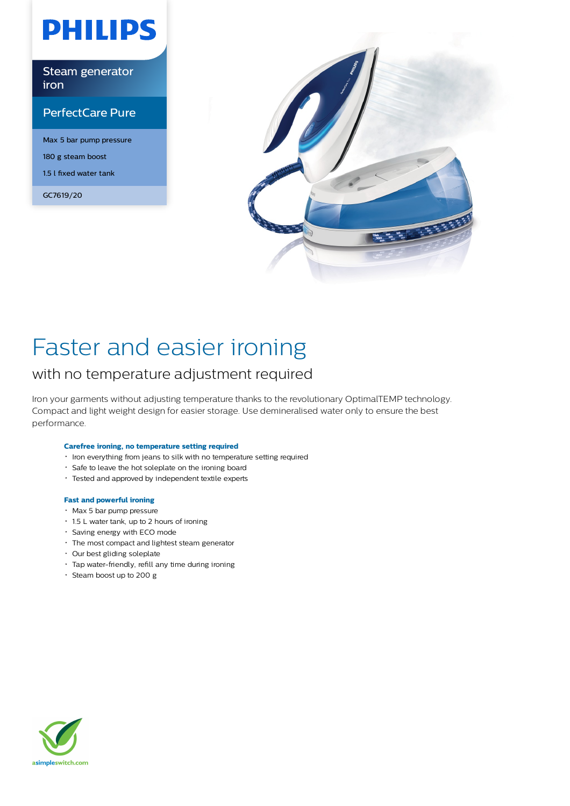# **PHILIPS**

Steam generator iron

### PerfectCare Pure

Max 5 bar pump pressure 180 g steam boost 1.5 l fixed water tank

GC7619/20



## Faster and easier ironing

### with no temperature adjustment required

Iron your garments without adjusting temperature thanks to the revolutionary OptimalTEMP technology. Compact and light weight design for easier storage. Use demineralised water only to ensure the best performance.

#### **Carefree ironing, no temperature setting required**

- $\cdot$  Iron everything from jeans to silk with no temperature setting required
- Safe to leave the hot soleplate on the ironing board
- Tested and approved by independent textile experts

#### **Fast and powerful ironing**

- Max 5 bar pump pressure
- 1.5 L water tank, up to 2 hours of ironing
- Saving energy with ECO mode
- The most compact and lightest steam generator
- Our best gliding soleplate
- Tap water-friendly, refill any time during ironing
- $\cdot$  Steam boost up to 200 g

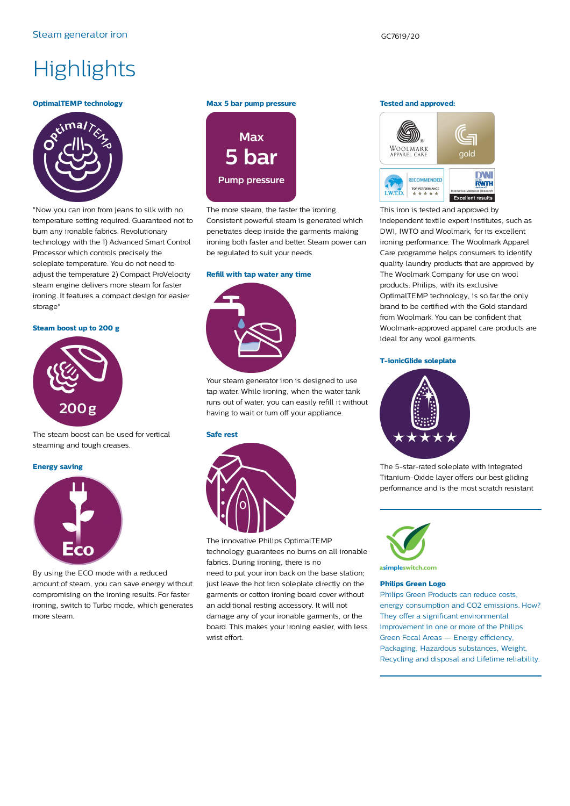### **Highlights**

#### **OptimalTEMP technology**



"Now you can iron from jeans to silk with no temperature setting required. Guaranteed not to burn any ironable fabrics. Revolutionary technology with the 1) Advanced Smart Control Processor which controls precisely the soleplate temperature. You do not need to adjust the temperature 2) Compact ProVelocity steam engine delivers more steam for faster ironing. It features a compact design for easier storage"

**Steam boost up to 200 g**



The steam boost can be used for vertical steaming and tough creases.

#### **Energy saving**



By using the ECO mode with a reduced amount of steam, you can save energy without compromising on the ironing results. For faster ironing, switch to Turbo mode, which generates more steam.

#### **Max 5 bar pump pressure**



The more steam, the faster the ironing. Consistent powerful steam is generated which penetrates deep inside the garments making ironing both faster and better. Steam power can be regulated to suit your needs.

#### **Refill with tap water any time**



Your steam generator iron is designed to use tap water. While ironing, when the water tank runs out of water, you can easily refill it without having to wait or turn off your appliance.

#### **Safe rest**



The innovative Philips OptimalTEMP technology guarantees no burns on all ironable fabrics. During ironing, there is no need to put your iron back on the base station; just leave the hot iron soleplate directly on the garments or cotton ironing board cover without an additional resting accessory. It will not damage any of your ironable garments, or the board. This makes your ironing easier, with less wrist effort.

#### **Tested and approved:**



This iron is tested and approved by independent textile expert institutes, such as DWI, IWTO and Woolmark, for its excellent ironing performance. The Woolmark Apparel Care programme helps consumers to identify quality laundry products that are approved by The Woolmark Company for use on wool products. Philips, with its exclusive OptimalTEMP technology, is so far the only brand to be certified with the Gold standard from Woolmark. You can be confident that Woolmark-approved apparel care products are ideal for any wool garments.

#### **T-ionicGlide soleplate**



The 5-star-rated soleplate with integrated Titanium-Oxide layer offers our best gliding performance and is the most scratch resistant



asimpleswitch.com

#### **Philips Green Logo**

Philips Green Products can reduce costs, energy consumption and CO2 emissions. How? They offer a significant environmental improvement in one or more of the Philips Green Focal Areas — Energy efficiency, Packaging, Hazardous substances, Weight, Recycling and disposal and Lifetime reliability.